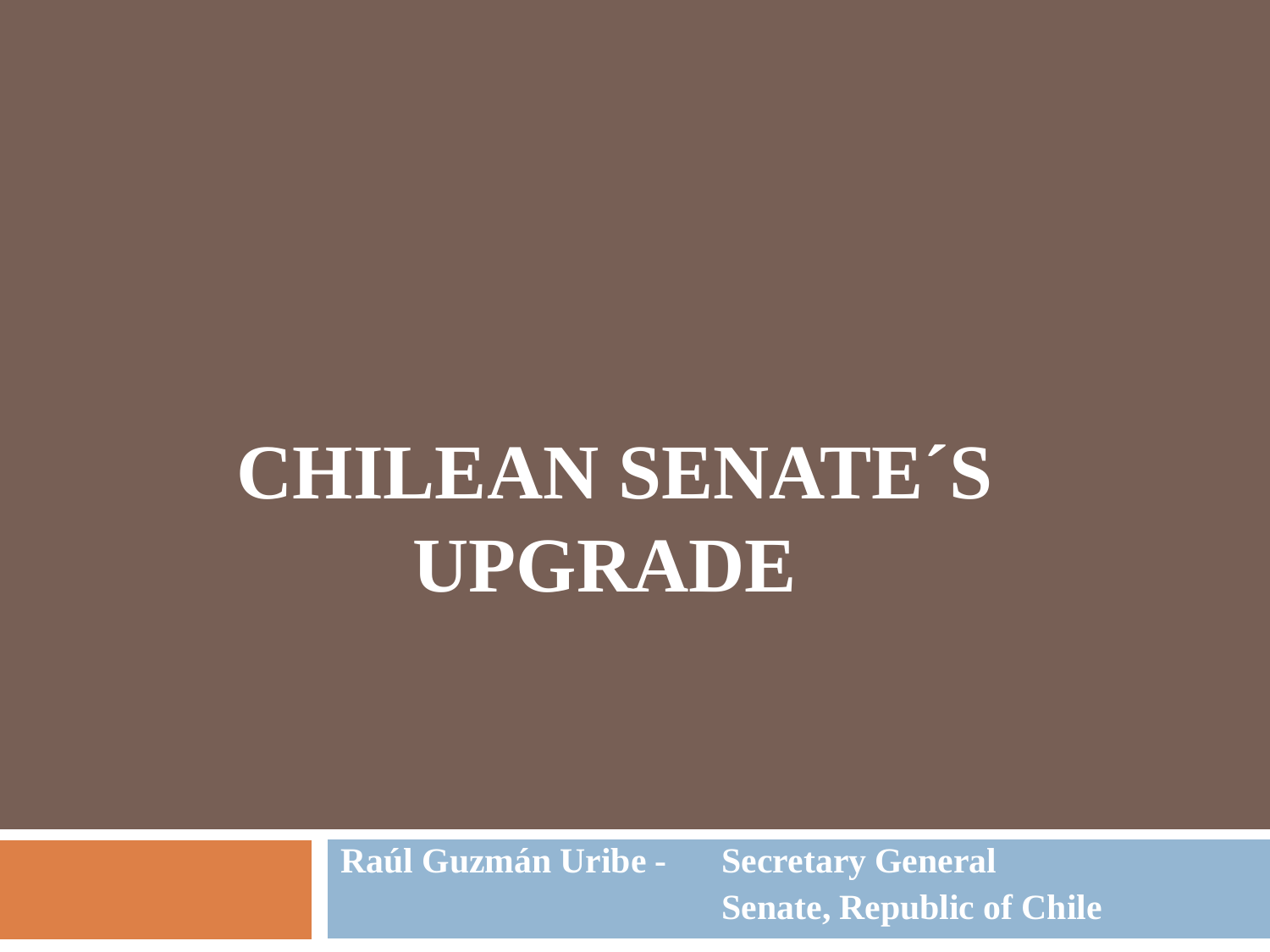## **CHILEAN SENATE´S UPGRADE**

**Raúl Guzmán Uribe - Secretary General Senate, Republic of Chile**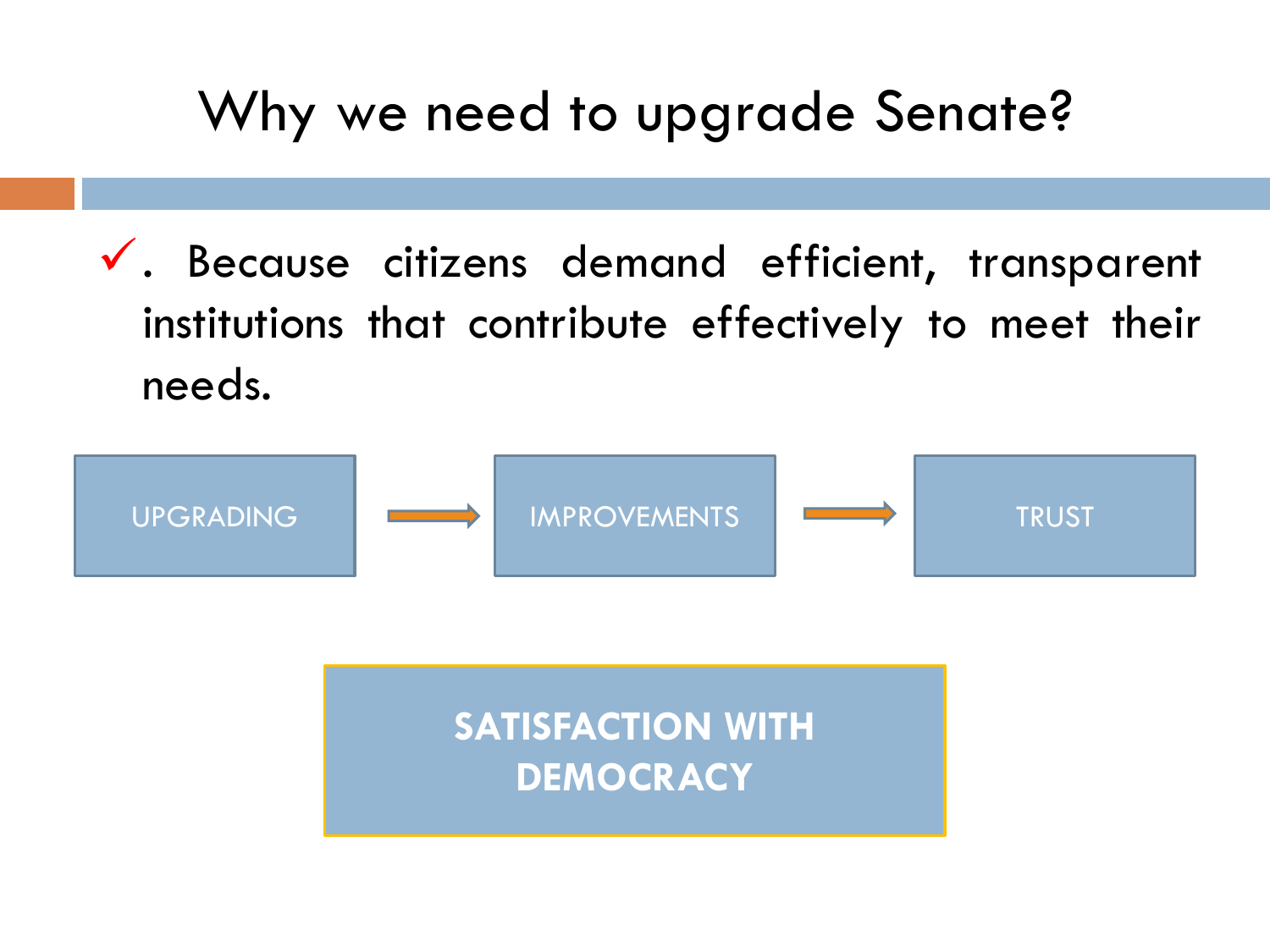### Why we need to upgrade Senate?

 $\checkmark$ . Because citizens demand efficient, transparent institutions that contribute effectively to meet their needs.



**DEMOCRACY**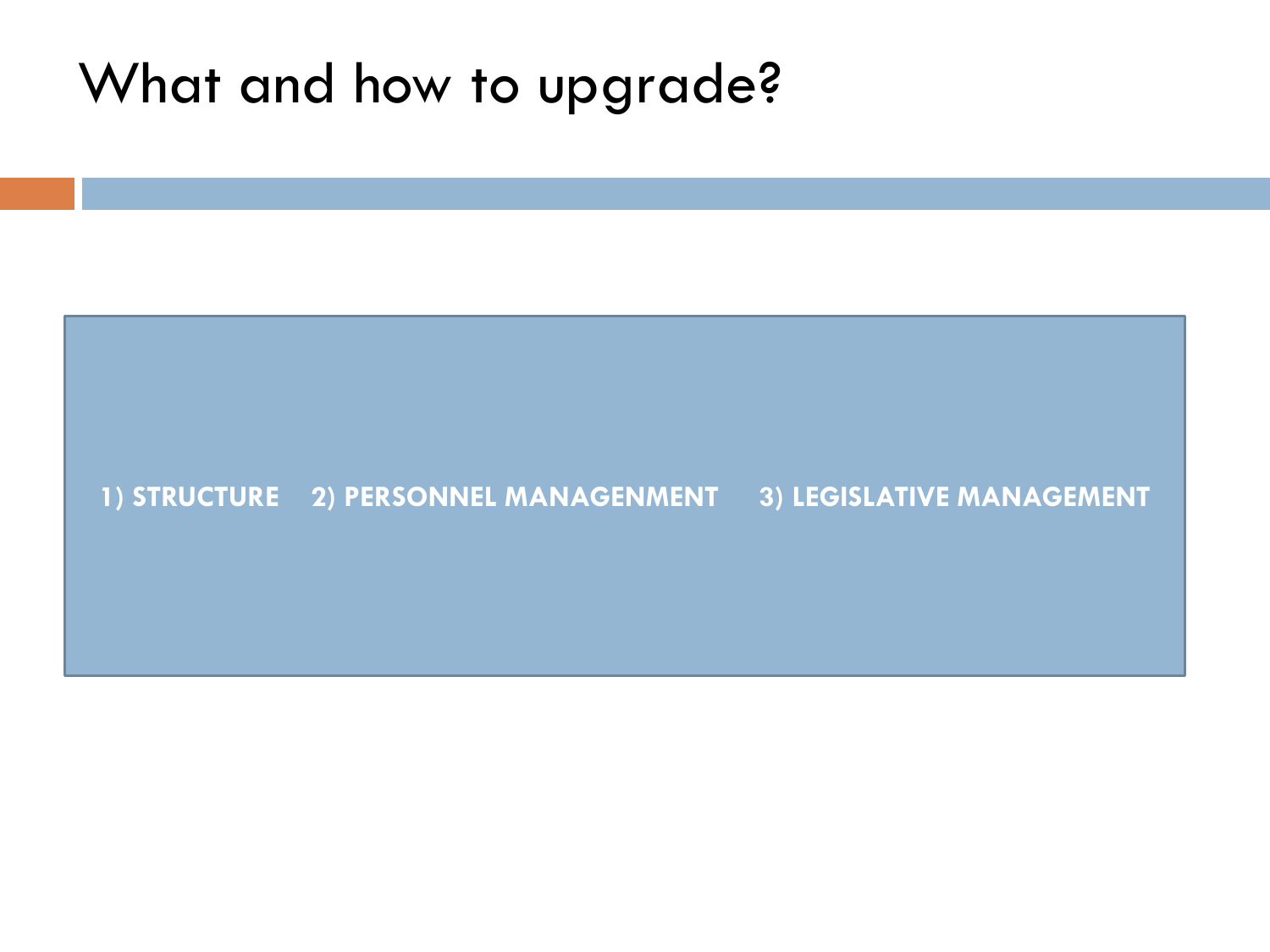#### What and how to upgrade?

#### **1) STRUCTURE 2) PERSONNEL MANAGENMENT 3) LEGISLATIVE MANAGEMENT**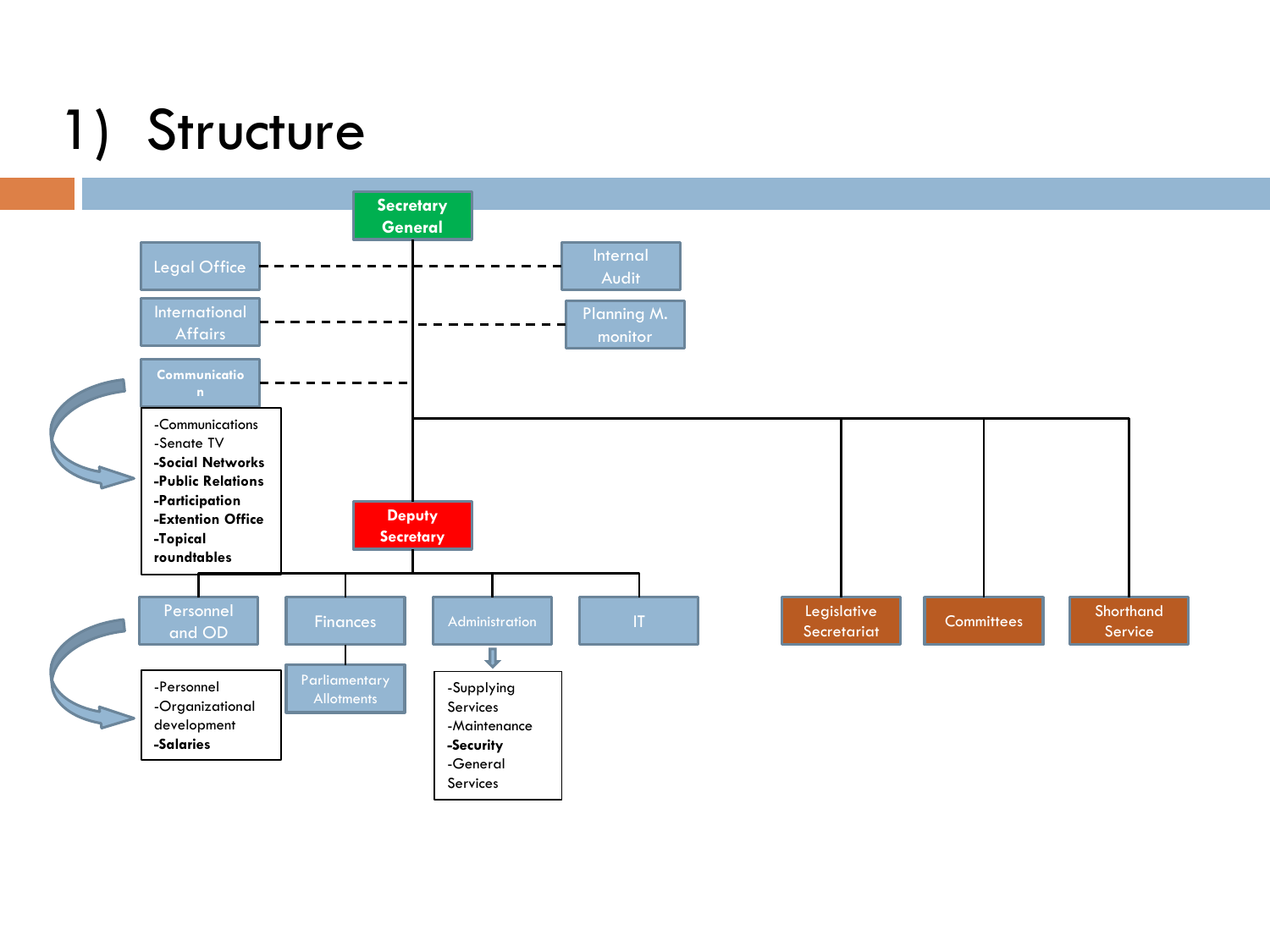### 1) Structure

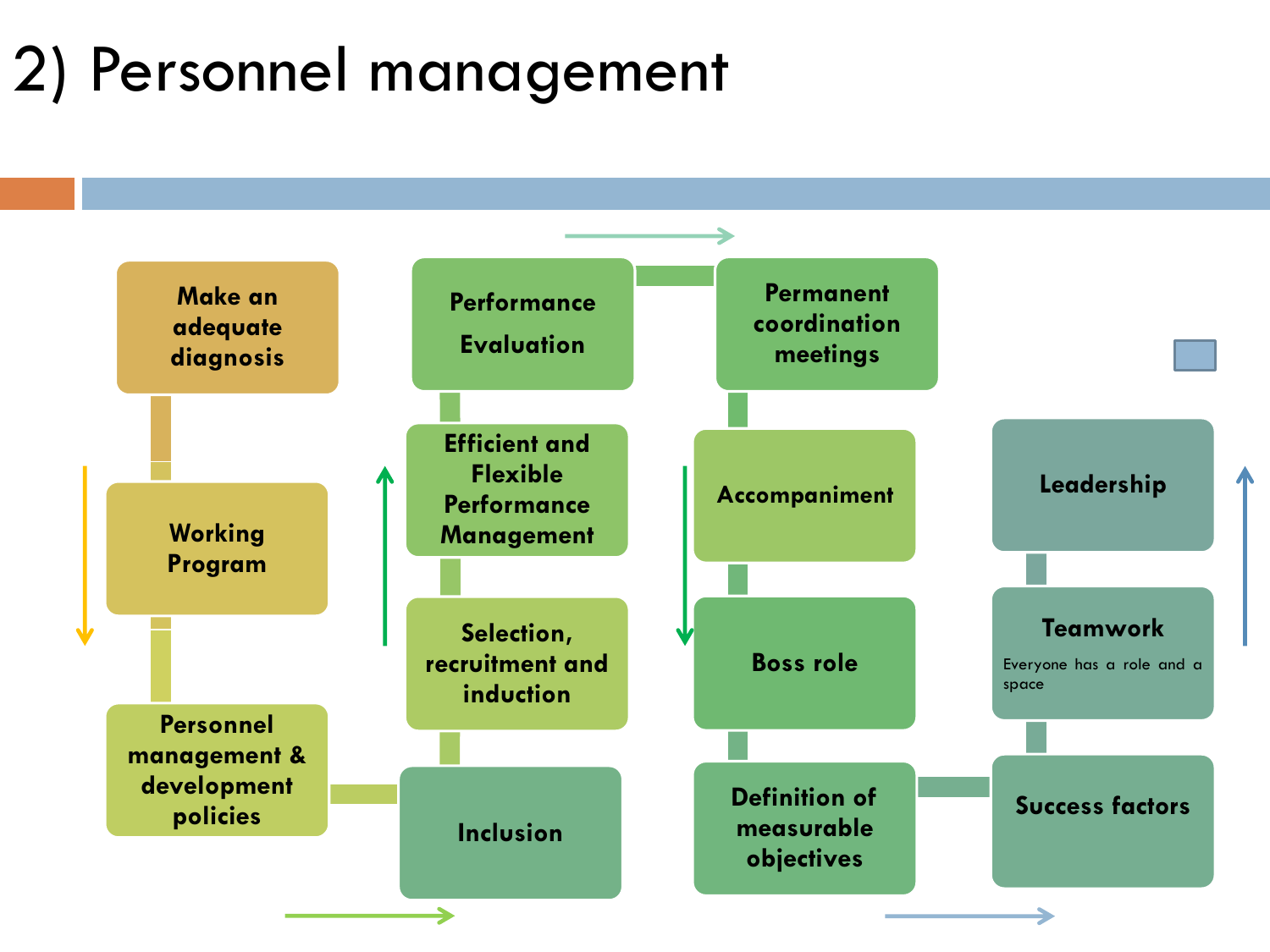### 2) Personnel management

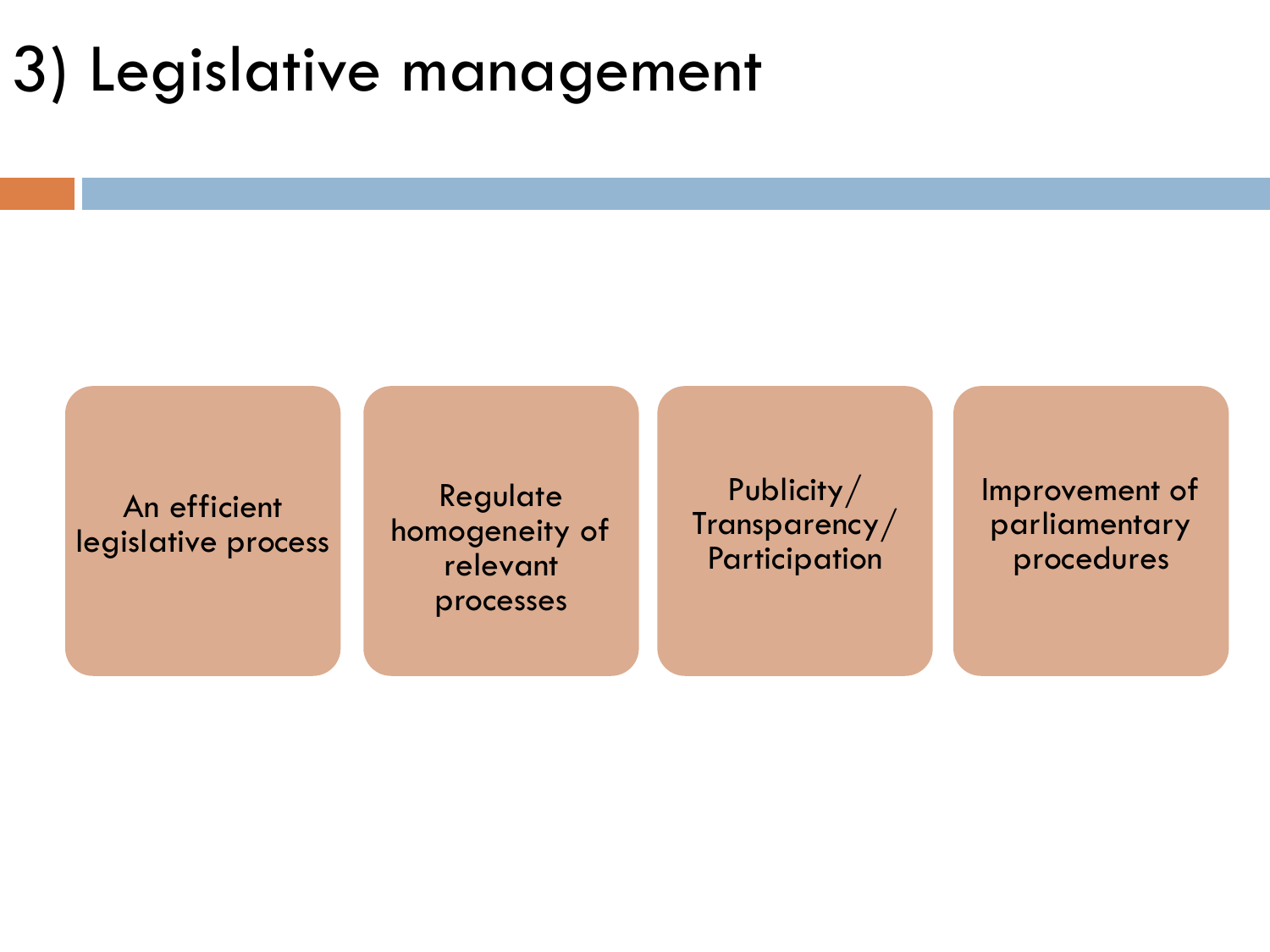### 3) Legislative management

An efficient legislative process

Regulate homogeneity of relevant processes

Publicity/ Transparency/ Participation

Improvement of parliamentary procedures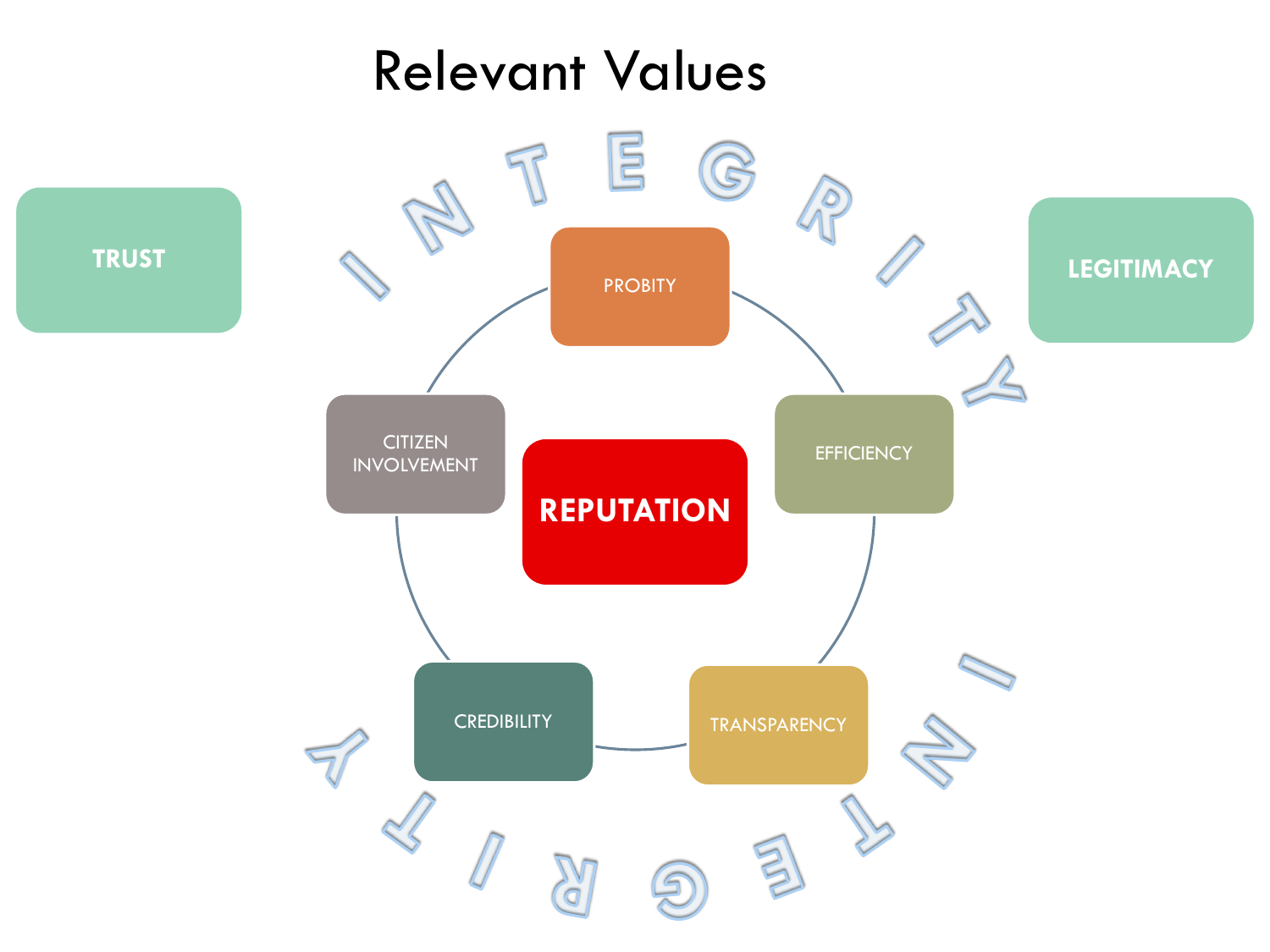#### Relevant Values

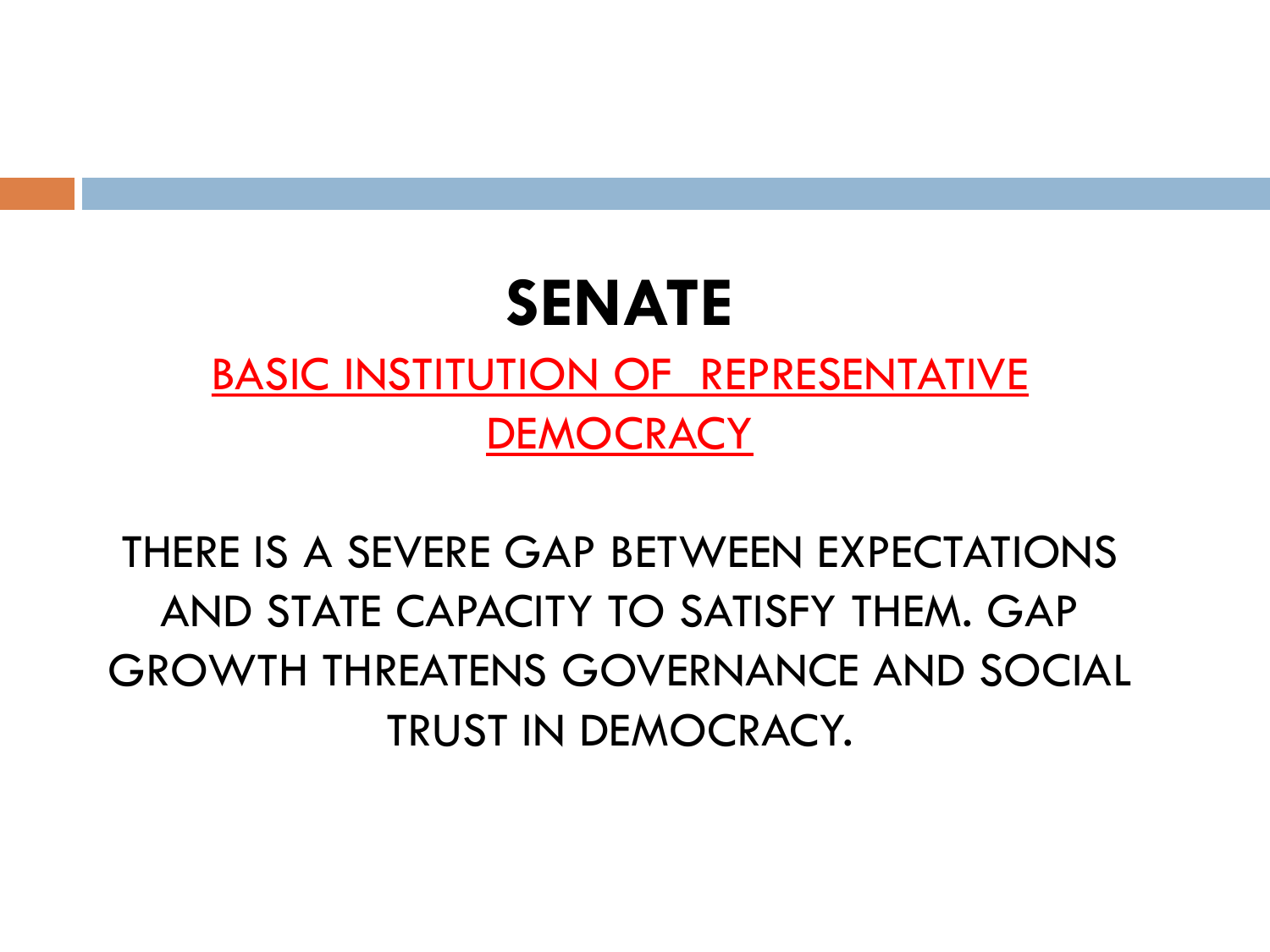#### **SENATE**

#### BASIC INSTITUTION OF REPRESENTATIVE **DEMOCRACY**

THERE IS A SEVERE GAP BETWEEN EXPECTATIONS AND STATE CAPACITY TO SATISFY THEM. GAP GROWTH THREATENS GOVERNANCE AND SOCIAL TRUST IN DEMOCRACY.